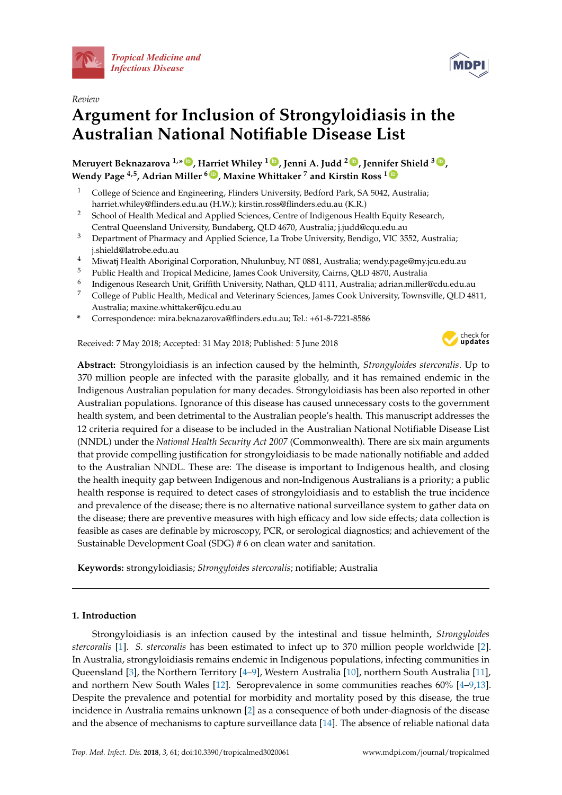



# *Review* **Argument for Inclusion of Strongyloidiasis in the Australian National Notifiable Disease List**

**Meruyert Beknazarova 1,\* [ID](https://orcid.org/0000-0001-9573-2818) , Harriet Whiley <sup>1</sup> [ID](https://orcid.org/0000-0001-8940-3508) , Jenni A. Judd <sup>2</sup> [ID](https://orcid.org/0000-0001-8441-5008) , Jennifer Shield <sup>3</sup> [ID](https://orcid.org/0000-0002-0849-0855) , Wendy Page 4,5, Adrian Miller <sup>6</sup> [ID](https://orcid.org/0000-0001-9735-6609) , Maxine Whittaker <sup>7</sup> and Kirstin Ross <sup>1</sup> [ID](https://orcid.org/0000-0001-5677-9576)**

- <sup>1</sup> College of Science and Engineering, Flinders University, Bedford Park, SA 5042, Australia; harriet.whiley@flinders.edu.au (H.W.); kirstin.ross@flinders.edu.au (K.R.)
- <sup>2</sup> School of Health Medical and Applied Sciences, Centre of Indigenous Health Equity Research, Central Queensland University, Bundaberg, QLD 4670, Australia; j.judd@cqu.edu.au
- <sup>3</sup> Department of Pharmacy and Applied Science, La Trobe University, Bendigo, VIC 3552, Australia; j.shield@latrobe.edu.au
- <sup>4</sup> Miwatj Health Aboriginal Corporation, Nhulunbuy, NT 0881, Australia; wendy.page@my.jcu.edu.au
- <sup>5</sup> Public Health and Tropical Medicine, James Cook University, Cairns, QLD 4870, Australia
- 6 Indigenous Research Unit, Griffith University, Nathan, QLD 4111, Australia; adrian.miller@cdu.edu.au
- <sup>7</sup> College of Public Health, Medical and Veterinary Sciences, James Cook University, Townsville, QLD 4811, Australia; maxine.whittaker@jcu.edu.au
- **\*** Correspondence: mira.beknazarova@flinders.edu.au; Tel.: +61-8-7221-8586

Received: 7 May 2018; Accepted: 31 May 2018; Published: 5 June 2018



**Abstract:** Strongyloidiasis is an infection caused by the helminth, *Strongyloides stercoralis*. Up to 370 million people are infected with the parasite globally, and it has remained endemic in the Indigenous Australian population for many decades. Strongyloidiasis has been also reported in other Australian populations. Ignorance of this disease has caused unnecessary costs to the government health system, and been detrimental to the Australian people's health. This manuscript addresses the 12 criteria required for a disease to be included in the Australian National Notifiable Disease List (NNDL) under the *National Health Security Act 2007* (Commonwealth). There are six main arguments that provide compelling justification for strongyloidiasis to be made nationally notifiable and added to the Australian NNDL. These are: The disease is important to Indigenous health, and closing the health inequity gap between Indigenous and non-Indigenous Australians is a priority; a public health response is required to detect cases of strongyloidiasis and to establish the true incidence and prevalence of the disease; there is no alternative national surveillance system to gather data on the disease; there are preventive measures with high efficacy and low side effects; data collection is feasible as cases are definable by microscopy, PCR, or serological diagnostics; and achievement of the Sustainable Development Goal (SDG) # 6 on clean water and sanitation.

**Keywords:** strongyloidiasis; *Strongyloides stercoralis*; notifiable; Australia

## **1. Introduction**

Strongyloidiasis is an infection caused by the intestinal and tissue helminth, *Strongyloides stercoralis* [\[1\]](#page-7-0). *S. stercoralis* has been estimated to infect up to 370 million people worldwide [\[2\]](#page-7-1). In Australia, strongyloidiasis remains endemic in Indigenous populations, infecting communities in Queensland [\[3\]](#page-7-2), the Northern Territory [\[4–](#page-7-3)[9\]](#page-7-4), Western Australia [\[10\]](#page-7-5), northern South Australia [\[11\]](#page-7-6), and northern New South Wales [\[12\]](#page-8-0). Seroprevalence in some communities reaches 60% [\[4](#page-7-3)[–9,](#page-7-4)[13\]](#page-8-1). Despite the prevalence and potential for morbidity and mortality posed by this disease, the true incidence in Australia remains unknown [\[2\]](#page-7-1) as a consequence of both under-diagnosis of the disease and the absence of mechanisms to capture surveillance data [\[14\]](#page-8-2). The absence of reliable national data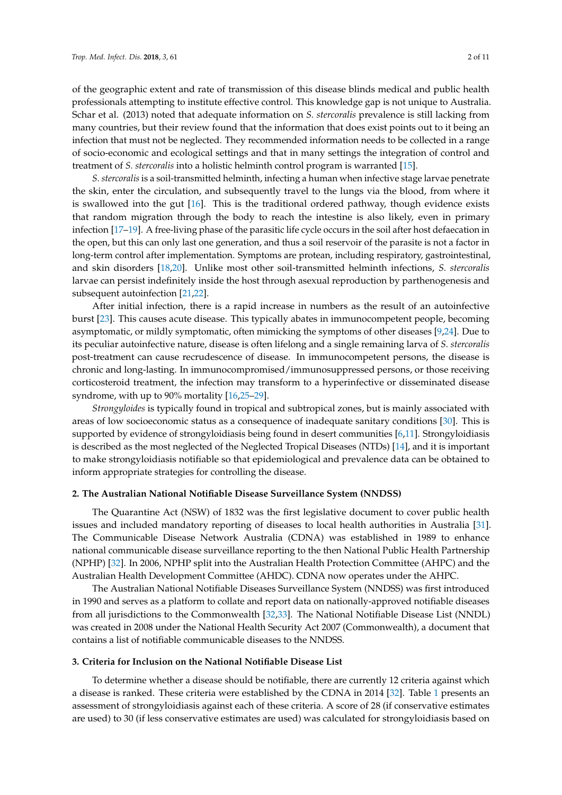of the geographic extent and rate of transmission of this disease blinds medical and public health professionals attempting to institute effective control. This knowledge gap is not unique to Australia. Schar et al. (2013) noted that adequate information on *S. stercoralis* prevalence is still lacking from many countries, but their review found that the information that does exist points out to it being an infection that must not be neglected. They recommended information needs to be collected in a range of socio-economic and ecological settings and that in many settings the integration of control and treatment of *S. stercoralis* into a holistic helminth control program is warranted [\[15\]](#page-8-3).

*S. stercoralis* is a soil-transmitted helminth, infecting a human when infective stage larvae penetrate the skin, enter the circulation, and subsequently travel to the lungs via the blood, from where it is swallowed into the gut [\[16\]](#page-8-4). This is the traditional ordered pathway, though evidence exists that random migration through the body to reach the intestine is also likely, even in primary infection [\[17–](#page-8-5)[19\]](#page-8-6). A free-living phase of the parasitic life cycle occurs in the soil after host defaecation in the open, but this can only last one generation, and thus a soil reservoir of the parasite is not a factor in long-term control after implementation. Symptoms are protean, including respiratory, gastrointestinal, and skin disorders [\[18,](#page-8-7)[20\]](#page-8-8). Unlike most other soil-transmitted helminth infections, *S. stercoralis* larvae can persist indefinitely inside the host through asexual reproduction by parthenogenesis and subsequent autoinfection [\[21,](#page-8-9)[22\]](#page-8-10).

After initial infection, there is a rapid increase in numbers as the result of an autoinfective burst [\[23\]](#page-8-11). This causes acute disease. This typically abates in immunocompetent people, becoming asymptomatic, or mildly symptomatic, often mimicking the symptoms of other diseases [\[9](#page-7-4)[,24\]](#page-8-12). Due to its peculiar autoinfective nature, disease is often lifelong and a single remaining larva of *S. stercoralis* post-treatment can cause recrudescence of disease. In immunocompetent persons, the disease is chronic and long-lasting. In immunocompromised/immunosuppressed persons, or those receiving corticosteroid treatment, the infection may transform to a hyperinfective or disseminated disease syndrome, with up to 90% mortality [\[16](#page-8-4)[,25](#page-8-13)[–29\]](#page-8-14).

*Strongyloides* is typically found in tropical and subtropical zones, but is mainly associated with areas of low socioeconomic status as a consequence of inadequate sanitary conditions [\[30\]](#page-8-15). This is supported by evidence of strongyloidiasis being found in desert communities [\[6](#page-7-7)[,11\]](#page-7-6). Strongyloidiasis is described as the most neglected of the Neglected Tropical Diseases (NTDs) [\[14\]](#page-8-2), and it is important to make strongyloidiasis notifiable so that epidemiological and prevalence data can be obtained to inform appropriate strategies for controlling the disease.

#### **2. The Australian National Notifiable Disease Surveillance System (NNDSS)**

The Quarantine Act (NSW) of 1832 was the first legislative document to cover public health issues and included mandatory reporting of diseases to local health authorities in Australia [\[31\]](#page-8-16). The Communicable Disease Network Australia (CDNA) was established in 1989 to enhance national communicable disease surveillance reporting to the then National Public Health Partnership (NPHP) [\[32\]](#page-8-17). In 2006, NPHP split into the Australian Health Protection Committee (AHPC) and the Australian Health Development Committee (AHDC). CDNA now operates under the AHPC.

The Australian National Notifiable Diseases Surveillance System (NNDSS) was first introduced in 1990 and serves as a platform to collate and report data on nationally-approved notifiable diseases from all jurisdictions to the Commonwealth [\[32](#page-8-17)[,33\]](#page-8-18). The National Notifiable Disease List (NNDL) was created in 2008 under the National Health Security Act 2007 (Commonwealth), a document that contains a list of notifiable communicable diseases to the NNDSS.

#### **3. Criteria for Inclusion on the National Notifiable Disease List**

To determine whether a disease should be notifiable, there are currently 12 criteria against which a disease is ranked. These criteria were established by the CDNA in 2014 [\[32\]](#page-8-17). Table [1](#page-5-0) presents an assessment of strongyloidiasis against each of these criteria. A score of 28 (if conservative estimates are used) to 30 (if less conservative estimates are used) was calculated for strongyloidiasis based on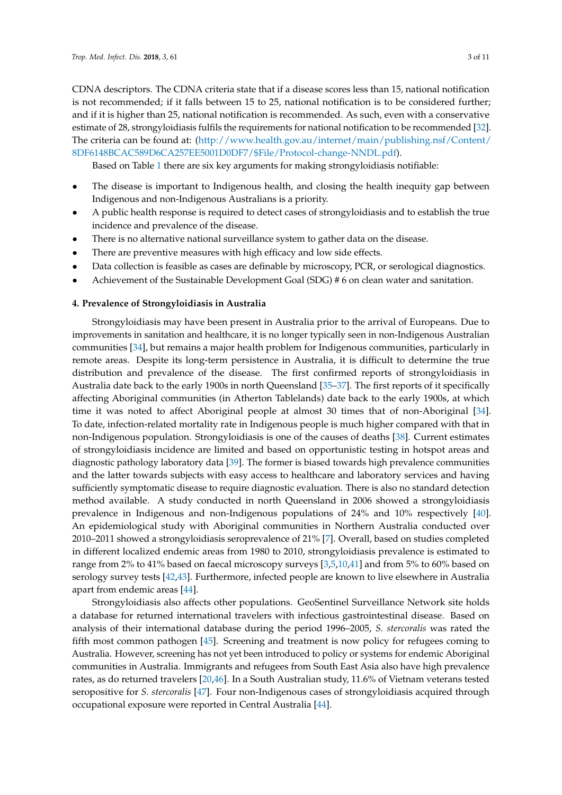CDNA descriptors. The CDNA criteria state that if a disease scores less than 15, national notification is not recommended; if it falls between 15 to 25, national notification is to be considered further; and if it is higher than 25, national notification is recommended. As such, even with a conservative estimate of 28, strongyloidiasis fulfils the requirements for national notification to be recommended [\[32\]](#page-8-17). The criteria can be found at: [\(http://www.health.gov.au/internet/main/publishing.nsf/Content/](http://www.health.gov.au/internet/main/publishing.nsf/Content/8DF6148BCAC589D6CA257EE5001D0DF7/$File/Protocol-change-NNDL.pdf) [8DF6148BCAC589D6CA257EE5001D0DF7/\\$File/Protocol-change-NNDL.pdf\)](http://www.health.gov.au/internet/main/publishing.nsf/Content/8DF6148BCAC589D6CA257EE5001D0DF7/$File/Protocol-change-NNDL.pdf).

Based on Table [1](#page-5-0) there are six key arguments for making strongyloidiasis notifiable:

- The disease is important to Indigenous health, and closing the health inequity gap between Indigenous and non-Indigenous Australians is a priority.
- A public health response is required to detect cases of strongyloidiasis and to establish the true incidence and prevalence of the disease.
- There is no alternative national surveillance system to gather data on the disease.
- There are preventive measures with high efficacy and low side effects.
- Data collection is feasible as cases are definable by microscopy, PCR, or serological diagnostics.
- Achievement of the Sustainable Development Goal (SDG) # 6 on clean water and sanitation.

#### **4. Prevalence of Strongyloidiasis in Australia**

Strongyloidiasis may have been present in Australia prior to the arrival of Europeans. Due to improvements in sanitation and healthcare, it is no longer typically seen in non-Indigenous Australian communities [\[34\]](#page-8-19), but remains a major health problem for Indigenous communities, particularly in remote areas. Despite its long-term persistence in Australia, it is difficult to determine the true distribution and prevalence of the disease. The first confirmed reports of strongyloidiasis in Australia date back to the early 1900s in north Queensland [\[35](#page-8-20)[–37\]](#page-8-21). The first reports of it specifically affecting Aboriginal communities (in Atherton Tablelands) date back to the early 1900s, at which time it was noted to affect Aboriginal people at almost 30 times that of non-Aboriginal [\[34\]](#page-8-19). To date, infection-related mortality rate in Indigenous people is much higher compared with that in non-Indigenous population. Strongyloidiasis is one of the causes of deaths [\[38\]](#page-8-22). Current estimates of strongyloidiasis incidence are limited and based on opportunistic testing in hotspot areas and diagnostic pathology laboratory data [\[39\]](#page-9-0). The former is biased towards high prevalence communities and the latter towards subjects with easy access to healthcare and laboratory services and having sufficiently symptomatic disease to require diagnostic evaluation. There is also no standard detection method available. A study conducted in north Queensland in 2006 showed a strongyloidiasis prevalence in Indigenous and non-Indigenous populations of 24% and 10% respectively [\[40\]](#page-9-1). An epidemiological study with Aboriginal communities in Northern Australia conducted over 2010–2011 showed a strongyloidiasis seroprevalence of 21% [\[7\]](#page-7-8). Overall, based on studies completed in different localized endemic areas from 1980 to 2010, strongyloidiasis prevalence is estimated to range from 2% to 41% based on faecal microscopy surveys [\[3,](#page-7-2)[5,](#page-7-9)[10,](#page-7-5)[41\]](#page-9-2) and from 5% to 60% based on serology survey tests [\[42,](#page-9-3)[43\]](#page-9-4). Furthermore, infected people are known to live elsewhere in Australia apart from endemic areas [\[44\]](#page-9-5).

Strongyloidiasis also affects other populations. GeoSentinel Surveillance Network site holds a database for returned international travelers with infectious gastrointestinal disease. Based on analysis of their international database during the period 1996–2005, *S. stercoralis* was rated the fifth most common pathogen [\[45\]](#page-9-6). Screening and treatment is now policy for refugees coming to Australia. However, screening has not yet been introduced to policy or systems for endemic Aboriginal communities in Australia. Immigrants and refugees from South East Asia also have high prevalence rates, as do returned travelers [\[20](#page-8-8)[,46\]](#page-9-7). In a South Australian study, 11.6% of Vietnam veterans tested seropositive for *S. stercoralis* [\[47\]](#page-9-8). Four non-Indigenous cases of strongyloidiasis acquired through occupational exposure were reported in Central Australia [\[44\]](#page-9-5).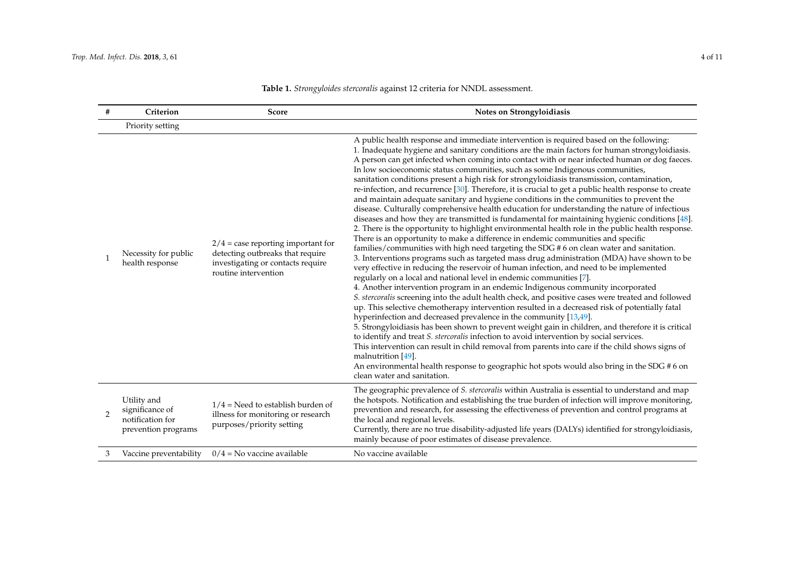| #              | Criterion                                                                 | Score                                                                                                                                 | Notes on Strongyloidiasis                                                                                                                                                                                                                                                                                                                                                                                                                                                                                                                                                                                                                                                                                                                                                                                                                                                                                                                                                                                                                                                                                                                                                                                                                                                                                                                                                                                                                                                                                                                                                                                                                                                                                                                                                                                                                                                                                                                                                                                                                                                                                                                                                                                                                                         |
|----------------|---------------------------------------------------------------------------|---------------------------------------------------------------------------------------------------------------------------------------|-------------------------------------------------------------------------------------------------------------------------------------------------------------------------------------------------------------------------------------------------------------------------------------------------------------------------------------------------------------------------------------------------------------------------------------------------------------------------------------------------------------------------------------------------------------------------------------------------------------------------------------------------------------------------------------------------------------------------------------------------------------------------------------------------------------------------------------------------------------------------------------------------------------------------------------------------------------------------------------------------------------------------------------------------------------------------------------------------------------------------------------------------------------------------------------------------------------------------------------------------------------------------------------------------------------------------------------------------------------------------------------------------------------------------------------------------------------------------------------------------------------------------------------------------------------------------------------------------------------------------------------------------------------------------------------------------------------------------------------------------------------------------------------------------------------------------------------------------------------------------------------------------------------------------------------------------------------------------------------------------------------------------------------------------------------------------------------------------------------------------------------------------------------------------------------------------------------------------------------------------------------------|
|                | Priority setting                                                          |                                                                                                                                       |                                                                                                                                                                                                                                                                                                                                                                                                                                                                                                                                                                                                                                                                                                                                                                                                                                                                                                                                                                                                                                                                                                                                                                                                                                                                                                                                                                                                                                                                                                                                                                                                                                                                                                                                                                                                                                                                                                                                                                                                                                                                                                                                                                                                                                                                   |
| 1              | Necessity for public<br>health response                                   | $2/4$ = case reporting important for<br>detecting outbreaks that require<br>investigating or contacts require<br>routine intervention | A public health response and immediate intervention is required based on the following:<br>1. Inadequate hygiene and sanitary conditions are the main factors for human strongyloidiasis.<br>A person can get infected when coming into contact with or near infected human or dog faeces.<br>In low socioeconomic status communities, such as some Indigenous communities,<br>sanitation conditions present a high risk for strongyloidiasis transmission, contamination,<br>re-infection, and recurrence [30]. Therefore, it is crucial to get a public health response to create<br>and maintain adequate sanitary and hygiene conditions in the communities to prevent the<br>disease. Culturally comprehensive health education for understanding the nature of infectious<br>diseases and how they are transmitted is fundamental for maintaining hygienic conditions [48].<br>2. There is the opportunity to highlight environmental health role in the public health response.<br>There is an opportunity to make a difference in endemic communities and specific<br>families/communities with high need targeting the SDG # 6 on clean water and sanitation.<br>3. Interventions programs such as targeted mass drug administration (MDA) have shown to be<br>very effective in reducing the reservoir of human infection, and need to be implemented<br>regularly on a local and national level in endemic communities [7].<br>4. Another intervention program in an endemic Indigenous community incorporated<br>S. stercoralis screening into the adult health check, and positive cases were treated and followed<br>up. This selective chemotherapy intervention resulted in a decreased risk of potentially fatal<br>hyperinfection and decreased prevalence in the community [13,49].<br>5. Strongyloidiasis has been shown to prevent weight gain in children, and therefore it is critical<br>to identify and treat S. stercoralis infection to avoid intervention by social services.<br>This intervention can result in child removal from parents into care if the child shows signs of<br>malnutrition [49].<br>An environmental health response to geographic hot spots would also bring in the SDG # 6 on<br>clean water and sanitation. |
| $\overline{2}$ | Utility and<br>significance of<br>notification for<br>prevention programs | $1/4$ = Need to establish burden of<br>illness for monitoring or research<br>purposes/priority setting                                | The geographic prevalence of S. stercoralis within Australia is essential to understand and map<br>the hotspots. Notification and establishing the true burden of infection will improve monitoring,<br>prevention and research, for assessing the effectiveness of prevention and control programs at<br>the local and regional levels.<br>Currently, there are no true disability-adjusted life years (DALYs) identified for strongyloidiasis,<br>mainly because of poor estimates of disease prevalence.                                                                                                                                                                                                                                                                                                                                                                                                                                                                                                                                                                                                                                                                                                                                                                                                                                                                                                                                                                                                                                                                                                                                                                                                                                                                                                                                                                                                                                                                                                                                                                                                                                                                                                                                                       |
| 3              | Vaccine preventability                                                    | $0/4$ = No vaccine available                                                                                                          | No vaccine available                                                                                                                                                                                                                                                                                                                                                                                                                                                                                                                                                                                                                                                                                                                                                                                                                                                                                                                                                                                                                                                                                                                                                                                                                                                                                                                                                                                                                                                                                                                                                                                                                                                                                                                                                                                                                                                                                                                                                                                                                                                                                                                                                                                                                                              |

**Table 1.** *Strongyloides stercoralis* against 12 criteria for NNDL assessment.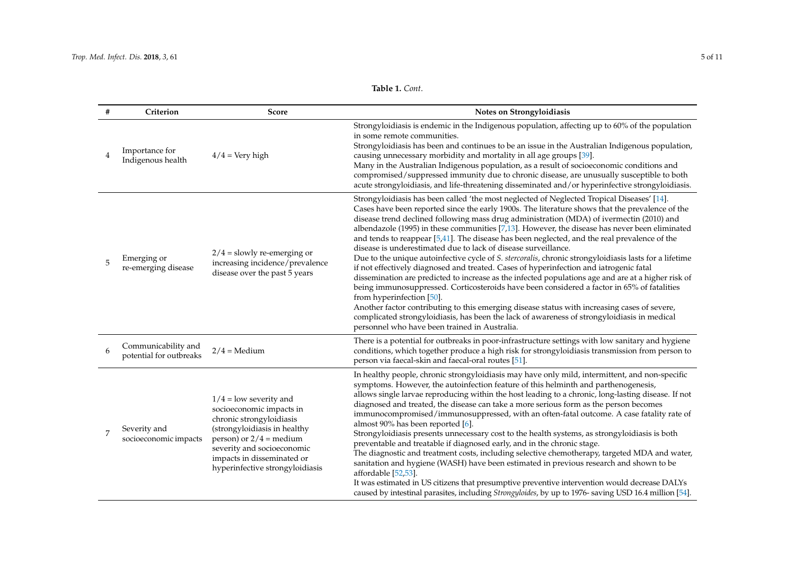| # | Criterion                                      | <b>Score</b>                                                                                                                                                                                                                                 | Notes on Strongyloidiasis                                                                                                                                                                                                                                                                                                                                                                                                                                                                                                                                                                                                                                                                                                                                                                                                                                                                                                                                                                                                                                                                                                                                                                                                                           |
|---|------------------------------------------------|----------------------------------------------------------------------------------------------------------------------------------------------------------------------------------------------------------------------------------------------|-----------------------------------------------------------------------------------------------------------------------------------------------------------------------------------------------------------------------------------------------------------------------------------------------------------------------------------------------------------------------------------------------------------------------------------------------------------------------------------------------------------------------------------------------------------------------------------------------------------------------------------------------------------------------------------------------------------------------------------------------------------------------------------------------------------------------------------------------------------------------------------------------------------------------------------------------------------------------------------------------------------------------------------------------------------------------------------------------------------------------------------------------------------------------------------------------------------------------------------------------------|
| 4 | Importance for<br>Indigenous health            | $4/4$ = Very high                                                                                                                                                                                                                            | Strongyloidiasis is endemic in the Indigenous population, affecting up to 60% of the population<br>in some remote communities.<br>Strongyloidiasis has been and continues to be an issue in the Australian Indigenous population,<br>causing unnecessary morbidity and mortality in all age groups [39].<br>Many in the Australian Indigenous population, as a result of socioeconomic conditions and<br>compromised/suppressed immunity due to chronic disease, are unusually susceptible to both<br>acute strongyloidiasis, and life-threatening disseminated and/or hyperinfective strongyloidiasis.                                                                                                                                                                                                                                                                                                                                                                                                                                                                                                                                                                                                                                             |
| 5 | Emerging or<br>re-emerging disease             | $2/4$ = slowly re-emerging or<br>increasing incidence/prevalence<br>disease over the past 5 years                                                                                                                                            | Strongyloidiasis has been called 'the most neglected of Neglected Tropical Diseases' [14].<br>Cases have been reported since the early 1900s. The literature shows that the prevalence of the<br>disease trend declined following mass drug administration (MDA) of ivermectin (2010) and<br>albendazole (1995) in these communities [7,13]. However, the disease has never been eliminated<br>and tends to reappear [5,41]. The disease has been neglected, and the real prevalence of the<br>disease is underestimated due to lack of disease surveillance.<br>Due to the unique autoinfective cycle of S. stercoralis, chronic strongyloidiasis lasts for a lifetime<br>if not effectively diagnosed and treated. Cases of hyperinfection and iatrogenic fatal<br>dissemination are predicted to increase as the infected populations age and are at a higher risk of<br>being immunosuppressed. Corticosteroids have been considered a factor in 65% of fatalities<br>from hyperinfection [50].<br>Another factor contributing to this emerging disease status with increasing cases of severe,<br>complicated strongyloidiasis, has been the lack of awareness of strongyloidiasis in medical<br>personnel who have been trained in Australia. |
| 6 | Communicability and<br>potential for outbreaks | $2/4$ = Medium                                                                                                                                                                                                                               | There is a potential for outbreaks in poor-infrastructure settings with low sanitary and hygiene<br>conditions, which together produce a high risk for strongyloidiasis transmission from person to<br>person via faecal-skin and faecal-oral routes [51].                                                                                                                                                                                                                                                                                                                                                                                                                                                                                                                                                                                                                                                                                                                                                                                                                                                                                                                                                                                          |
| 7 | Severity and<br>socioeconomic impacts          | $1/4$ = low severity and<br>socioeconomic impacts in<br>chronic strongyloidiasis<br>(strongyloidiasis in healthy<br>person) or $2/4$ = medium<br>severity and socioeconomic<br>impacts in disseminated or<br>hyperinfective strongyloidiasis | In healthy people, chronic strongyloidiasis may have only mild, intermittent, and non-specific<br>symptoms. However, the autoinfection feature of this helminth and parthenogenesis,<br>allows single larvae reproducing within the host leading to a chronic, long-lasting disease. If not<br>diagnosed and treated, the disease can take a more serious form as the person becomes<br>immunocompromised/immunosuppressed, with an often-fatal outcome. A case fatality rate of<br>almost 90% has been reported [6].<br>Strongyloidiasis presents unnecessary cost to the health systems, as strongyloidiasis is both<br>preventable and treatable if diagnosed early, and in the chronic stage.<br>The diagnostic and treatment costs, including selective chemotherapy, targeted MDA and water,<br>sanitation and hygiene (WASH) have been estimated in previous research and shown to be<br>affordable [52,53].<br>It was estimated in US citizens that presumptive preventive intervention would decrease DALYs<br>caused by intestinal parasites, including Strongyloides, by up to 1976- saving USD 16.4 million [54].                                                                                                                       |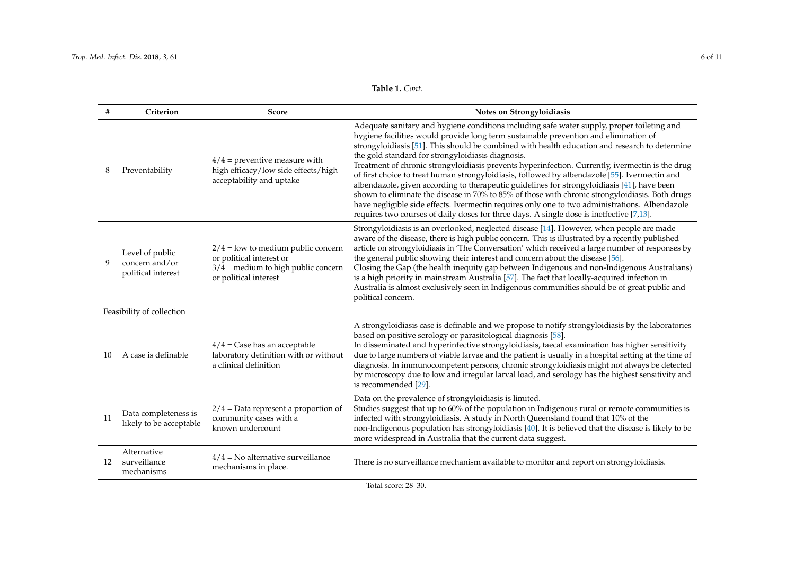| Table 1. Cont. |  |  |
|----------------|--|--|
|----------------|--|--|

<span id="page-5-0"></span>

| #  | Criterion                                               | <b>Score</b>                                                                                                                       | Notes on Strongyloidiasis                                                                                                                                                                                                                                                                                                                                                                                                                                                                                                                                                                                                                                                                                                                                                                                                                                                                                                                      |
|----|---------------------------------------------------------|------------------------------------------------------------------------------------------------------------------------------------|------------------------------------------------------------------------------------------------------------------------------------------------------------------------------------------------------------------------------------------------------------------------------------------------------------------------------------------------------------------------------------------------------------------------------------------------------------------------------------------------------------------------------------------------------------------------------------------------------------------------------------------------------------------------------------------------------------------------------------------------------------------------------------------------------------------------------------------------------------------------------------------------------------------------------------------------|
| 8  | Preventability                                          | $4/4$ = preventive measure with<br>high efficacy/low side effects/high<br>acceptability and uptake                                 | Adequate sanitary and hygiene conditions including safe water supply, proper toileting and<br>hygiene facilities would provide long term sustainable prevention and elimination of<br>strongyloidiasis [51]. This should be combined with health education and research to determine<br>the gold standard for strongyloidiasis diagnosis.<br>Treatment of chronic strongyloidiasis prevents hyperinfection. Currently, ivermectin is the drug<br>of first choice to treat human strongyloidiasis, followed by albendazole [55]. Ivermectin and<br>albendazole, given according to therapeutic guidelines for strongyloidiasis [41], have been<br>shown to eliminate the disease in 70% to 85% of those with chronic strongyloidiasis. Both drugs<br>have negligible side effects. Ivermectin requires only one to two administrations. Albendazole<br>requires two courses of daily doses for three days. A single dose is ineffective [7,13]. |
| 9  | Level of public<br>concern and/or<br>political interest | $2/4$ = low to medium public concern<br>or political interest or<br>$3/4$ = medium to high public concern<br>or political interest | Strongyloidiasis is an overlooked, neglected disease [14]. However, when people are made<br>aware of the disease, there is high public concern. This is illustrated by a recently published<br>article on strongyloidiasis in 'The Conversation' which received a large number of responses by<br>the general public showing their interest and concern about the disease [56].<br>Closing the Gap (the health inequity gap between Indigenous and non-Indigenous Australians)<br>is a high priority in mainstream Australia [57]. The fact that locally-acquired infection in<br>Australia is almost exclusively seen in Indigenous communities should be of great public and<br>political concern.                                                                                                                                                                                                                                           |
|    | Feasibility of collection                               |                                                                                                                                    |                                                                                                                                                                                                                                                                                                                                                                                                                                                                                                                                                                                                                                                                                                                                                                                                                                                                                                                                                |
| 10 | A case is definable                                     | $4/4$ = Case has an acceptable<br>laboratory definition with or without<br>a clinical definition                                   | A strongyloidiasis case is definable and we propose to notify strongyloidiasis by the laboratories<br>based on positive serology or parasitological diagnosis [58].<br>In disseminated and hyperinfective strongyloidiasis, faecal examination has higher sensitivity<br>due to large numbers of viable larvae and the patient is usually in a hospital setting at the time of<br>diagnosis. In immunocompetent persons, chronic strongyloidiasis might not always be detected<br>by microscopy due to low and irregular larval load, and serology has the highest sensitivity and<br>is recommended [29].                                                                                                                                                                                                                                                                                                                                     |
| 11 | Data completeness is<br>likely to be acceptable         | $2/4$ = Data represent a proportion of<br>community cases with a<br>known undercount                                               | Data on the prevalence of strongyloidiasis is limited.<br>Studies suggest that up to 60% of the population in Indigenous rural or remote communities is<br>infected with strongyloidiasis. A study in North Queensland found that 10% of the<br>non-Indigenous population has strongyloidiasis [40]. It is believed that the disease is likely to be<br>more widespread in Australia that the current data suggest.                                                                                                                                                                                                                                                                                                                                                                                                                                                                                                                            |
| 12 | Alternative<br>surveillance<br>mechanisms               | $4/4$ = No alternative surveillance<br>mechanisms in place.                                                                        | There is no surveillance mechanism available to monitor and report on strongyloidiasis.                                                                                                                                                                                                                                                                                                                                                                                                                                                                                                                                                                                                                                                                                                                                                                                                                                                        |

Total score: 28–30.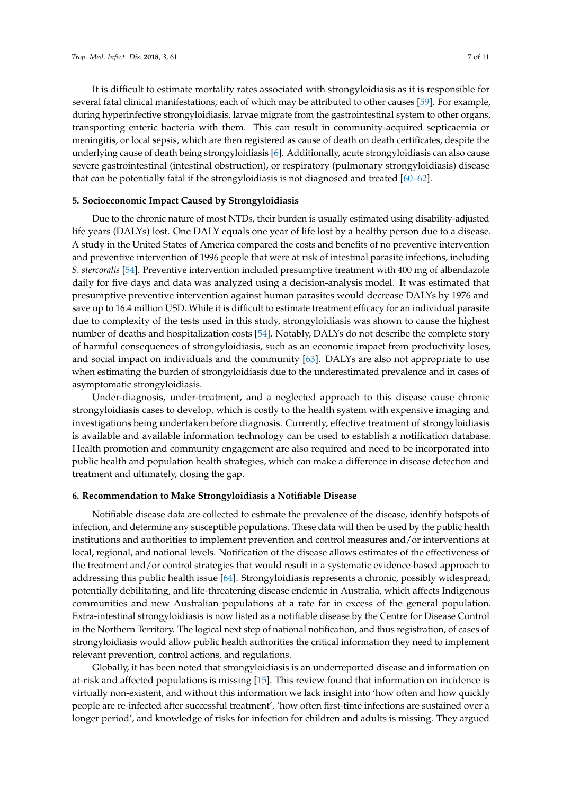It is difficult to estimate mortality rates associated with strongyloidiasis as it is responsible for several fatal clinical manifestations, each of which may be attributed to other causes [\[59\]](#page-10-1). For example, during hyperinfective strongyloidiasis, larvae migrate from the gastrointestinal system to other organs, transporting enteric bacteria with them. This can result in community-acquired septicaemia or meningitis, or local sepsis, which are then registered as cause of death on death certificates, despite the underlying cause of death being strongyloidiasis [\[6\]](#page-7-7). Additionally, acute strongyloidiasis can also cause severe gastrointestinal (intestinal obstruction), or respiratory (pulmonary strongyloidiasis) disease that can be potentially fatal if the strongyloidiasis is not diagnosed and treated [\[60](#page-10-2)[–62\]](#page-10-3).

### **5. Socioeconomic Impact Caused by Strongyloidiasis**

Due to the chronic nature of most NTDs, their burden is usually estimated using disability-adjusted life years (DALYs) lost. One DALY equals one year of life lost by a healthy person due to a disease. A study in the United States of America compared the costs and benefits of no preventive intervention and preventive intervention of 1996 people that were at risk of intestinal parasite infections, including *S. stercoralis* [\[54\]](#page-9-21). Preventive intervention included presumptive treatment with 400 mg of albendazole daily for five days and data was analyzed using a decision-analysis model. It was estimated that presumptive preventive intervention against human parasites would decrease DALYs by 1976 and save up to 16.4 million USD. While it is difficult to estimate treatment efficacy for an individual parasite due to complexity of the tests used in this study, strongyloidiasis was shown to cause the highest number of deaths and hospitalization costs [\[54\]](#page-9-21). Notably, DALYs do not describe the complete story of harmful consequences of strongyloidiasis, such as an economic impact from productivity loses, and social impact on individuals and the community [\[63\]](#page-10-4). DALYs are also not appropriate to use when estimating the burden of strongyloidiasis due to the underestimated prevalence and in cases of asymptomatic strongyloidiasis.

Under-diagnosis, under-treatment, and a neglected approach to this disease cause chronic strongyloidiasis cases to develop, which is costly to the health system with expensive imaging and investigations being undertaken before diagnosis. Currently, effective treatment of strongyloidiasis is available and available information technology can be used to establish a notification database. Health promotion and community engagement are also required and need to be incorporated into public health and population health strategies, which can make a difference in disease detection and treatment and ultimately, closing the gap.

#### **6. Recommendation to Make Strongyloidiasis a Notifiable Disease**

Notifiable disease data are collected to estimate the prevalence of the disease, identify hotspots of infection, and determine any susceptible populations. These data will then be used by the public health institutions and authorities to implement prevention and control measures and/or interventions at local, regional, and national levels. Notification of the disease allows estimates of the effectiveness of the treatment and/or control strategies that would result in a systematic evidence-based approach to addressing this public health issue [\[64\]](#page-10-5). Strongyloidiasis represents a chronic, possibly widespread, potentially debilitating, and life-threatening disease endemic in Australia, which affects Indigenous communities and new Australian populations at a rate far in excess of the general population. Extra-intestinal strongyloidiasis is now listed as a notifiable disease by the Centre for Disease Control in the Northern Territory. The logical next step of national notification, and thus registration, of cases of strongyloidiasis would allow public health authorities the critical information they need to implement relevant prevention, control actions, and regulations.

Globally, it has been noted that strongyloidiasis is an underreported disease and information on at-risk and affected populations is missing [\[15\]](#page-8-3). This review found that information on incidence is virtually non-existent, and without this information we lack insight into 'how often and how quickly people are re-infected after successful treatment', 'how often first-time infections are sustained over a longer period', and knowledge of risks for infection for children and adults is missing. They argued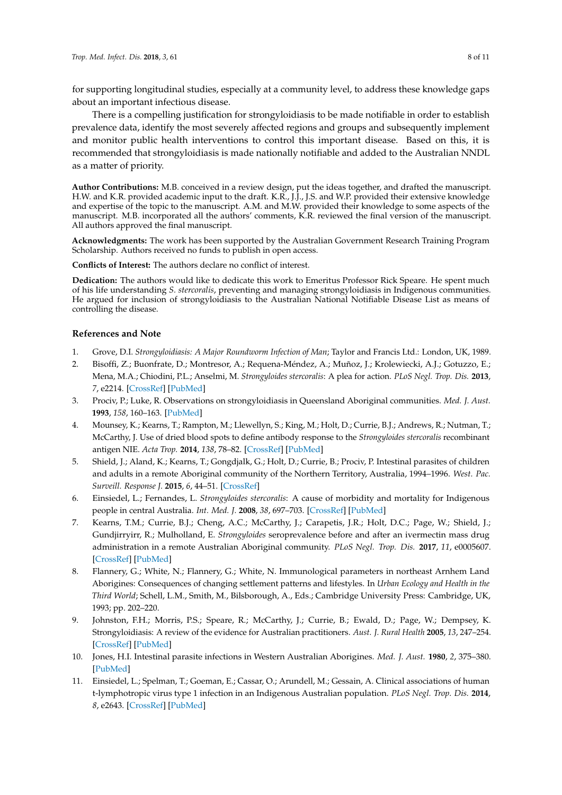for supporting longitudinal studies, especially at a community level, to address these knowledge gaps about an important infectious disease.

There is a compelling justification for strongyloidiasis to be made notifiable in order to establish prevalence data, identify the most severely affected regions and groups and subsequently implement and monitor public health interventions to control this important disease. Based on this, it is recommended that strongyloidiasis is made nationally notifiable and added to the Australian NNDL as a matter of priority.

**Author Contributions:** M.B. conceived in a review design, put the ideas together, and drafted the manuscript. H.W. and K.R. provided academic input to the draft. K.R., J.J., J.S. and W.P. provided their extensive knowledge and expertise of the topic to the manuscript. A.M. and M.W. provided their knowledge to some aspects of the manuscript. M.B. incorporated all the authors' comments, K.R. reviewed the final version of the manuscript. All authors approved the final manuscript.

<span id="page-7-11"></span>**Acknowledgments:** The work has been supported by the Australian Government Research Training Program Scholarship. Authors received no funds to publish in open access.

<span id="page-7-12"></span>**Conflicts of Interest:** The authors declare no conflict of interest.

<span id="page-7-10"></span>**Dedication:** The authors would like to dedicate this work to Emeritus Professor Rick Speare. He spent much of his life understanding *S. stercoralis*, preventing and managing strongyloidiasis in Indigenous communities. He argued for inclusion of strongyloidiasis to the Australian National Notifiable Disease List as means of controlling the disease.

#### **References and Note**

- <span id="page-7-0"></span>1. Grove, D.I. *Strongyloidiasis: A Major Roundworm Infection of Man*; Taylor and Francis Ltd.: London, UK, 1989.
- <span id="page-7-1"></span>2. Bisoffi, Z.; Buonfrate, D.; Montresor, A.; Requena-Méndez, A.; Muñoz, J.; Krolewiecki, A.J.; Gotuzzo, E.; Mena, M.A.; Chiodini, P.L.; Anselmi, M. *Strongyloides stercoralis*: A plea for action. *PLoS Negl. Trop. Dis.* **2013**, *7*, e2214. [\[CrossRef\]](http://dx.doi.org/10.1371/journal.pntd.0002214) [\[PubMed\]](http://www.ncbi.nlm.nih.gov/pubmed/23675546)
- <span id="page-7-2"></span>3. Prociv, P.; Luke, R. Observations on strongyloidiasis in Queensland Aboriginal communities. *Med. J. Aust.* **1993**, *158*, 160–163. [\[PubMed\]](http://www.ncbi.nlm.nih.gov/pubmed/8450780)
- <span id="page-7-3"></span>4. Mounsey, K.; Kearns, T.; Rampton, M.; Llewellyn, S.; King, M.; Holt, D.; Currie, B.J.; Andrews, R.; Nutman, T.; McCarthy, J. Use of dried blood spots to define antibody response to the *Strongyloides stercoralis* recombinant antigen NIE. *Acta Trop.* **2014**, *138*, 78–82. [\[CrossRef\]](http://dx.doi.org/10.1016/j.actatropica.2014.07.007) [\[PubMed\]](http://www.ncbi.nlm.nih.gov/pubmed/25051188)
- <span id="page-7-9"></span>5. Shield, J.; Aland, K.; Kearns, T.; Gongdjalk, G.; Holt, D.; Currie, B.; Prociv, P. Intestinal parasites of children and adults in a remote Aboriginal community of the Northern Territory, Australia, 1994–1996. *West. Pac. Surveill. Response J.* **2015**, *6*, 44–51. [\[CrossRef\]](http://dx.doi.org/10.5365/wpsar.2015.6.1.008)
- <span id="page-7-7"></span>6. Einsiedel, L.; Fernandes, L. *Strongyloides stercoralis*: A cause of morbidity and mortality for Indigenous people in central Australia. *Int. Med. J.* **2008**, *38*, 697–703. [\[CrossRef\]](http://dx.doi.org/10.1111/j.1445-5994.2008.01775.x) [\[PubMed\]](http://www.ncbi.nlm.nih.gov/pubmed/19143887)
- <span id="page-7-8"></span>7. Kearns, T.M.; Currie, B.J.; Cheng, A.C.; McCarthy, J.; Carapetis, J.R.; Holt, D.C.; Page, W.; Shield, J.; Gundjirryirr, R.; Mulholland, E. *Strongyloides* seroprevalence before and after an ivermectin mass drug administration in a remote Australian Aboriginal community. *PLoS Negl. Trop. Dis.* **2017**, *11*, e0005607. [\[CrossRef\]](http://dx.doi.org/10.1371/journal.pntd.0005607) [\[PubMed\]](http://www.ncbi.nlm.nih.gov/pubmed/28505198)
- 8. Flannery, G.; White, N.; Flannery, G.; White, N. Immunological parameters in northeast Arnhem Land Aborigines: Consequences of changing settlement patterns and lifestyles. In *Urban Ecology and Health in the Third World*; Schell, L.M., Smith, M., Bilsborough, A., Eds.; Cambridge University Press: Cambridge, UK, 1993; pp. 202–220.
- <span id="page-7-4"></span>9. Johnston, F.H.; Morris, P.S.; Speare, R.; McCarthy, J.; Currie, B.; Ewald, D.; Page, W.; Dempsey, K. Strongyloidiasis: A review of the evidence for Australian practitioners. *Aust. J. Rural Health* **2005**, *13*, 247–254. [\[CrossRef\]](http://dx.doi.org/10.1111/j.1440-1584.2005.00710.x) [\[PubMed\]](http://www.ncbi.nlm.nih.gov/pubmed/16048468)
- <span id="page-7-5"></span>10. Jones, H.I. Intestinal parasite infections in Western Australian Aborigines. *Med. J. Aust.* **1980**, *2*, 375–380. [\[PubMed\]](http://www.ncbi.nlm.nih.gov/pubmed/7453610)
- <span id="page-7-6"></span>11. Einsiedel, L.; Spelman, T.; Goeman, E.; Cassar, O.; Arundell, M.; Gessain, A. Clinical associations of human t-lymphotropic virus type 1 infection in an Indigenous Australian population. *PLoS Negl. Trop. Dis.* **2014**, *8*, e2643. [\[CrossRef\]](http://dx.doi.org/10.1371/journal.pntd.0002643) [\[PubMed\]](http://www.ncbi.nlm.nih.gov/pubmed/24454973)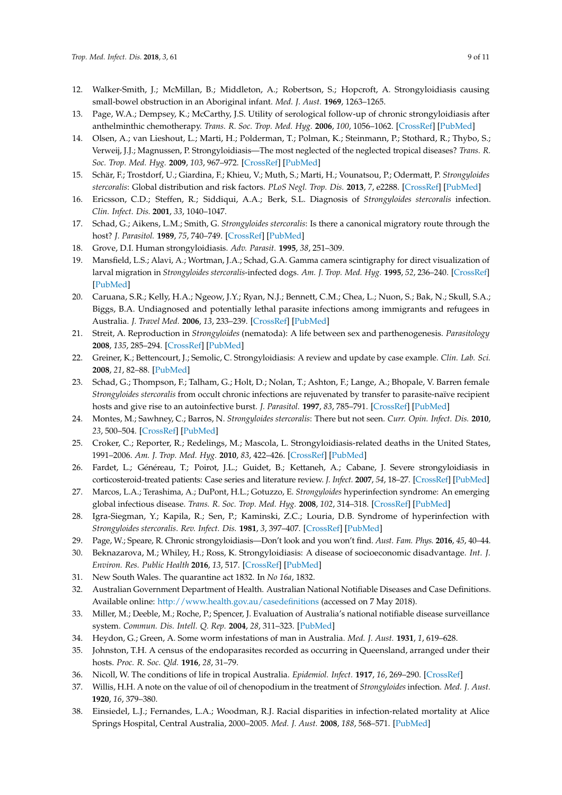- <span id="page-8-25"></span><span id="page-8-24"></span><span id="page-8-0"></span>12. Walker-Smith, J.; McMillan, B.; Middleton, A.; Robertson, S.; Hopcroft, A. Strongyloidiasis causing small-bowel obstruction in an Aboriginal infant. *Med. J. Aust.* **1969**, 1263–1265.
- <span id="page-8-1"></span>13. Page, W.A.; Dempsey, K.; McCarthy, J.S. Utility of serological follow-up of chronic strongyloidiasis after anthelminthic chemotherapy. *Trans. R. Soc. Trop. Med. Hyg.* **2006**, *100*, 1056–1062. [\[CrossRef\]](http://dx.doi.org/10.1016/j.trstmh.2005.12.006) [\[PubMed\]](http://www.ncbi.nlm.nih.gov/pubmed/16551471)
- <span id="page-8-2"></span>14. Olsen, A.; van Lieshout, L.; Marti, H.; Polderman, T.; Polman, K.; Steinmann, P.; Stothard, R.; Thybo, S.; Verweij, J.J.; Magnussen, P. Strongyloidiasis—The most neglected of the neglected tropical diseases? *Trans. R. Soc. Trop. Med. Hyg.* **2009**, *103*, 967–972. [\[CrossRef\]](http://dx.doi.org/10.1016/j.trstmh.2009.02.013) [\[PubMed\]](http://www.ncbi.nlm.nih.gov/pubmed/19328508)
- <span id="page-8-3"></span>15. Schär, F.; Trostdorf, U.; Giardina, F.; Khieu, V.; Muth, S.; Marti, H.; Vounatsou, P.; Odermatt, P. *Strongyloides stercoralis*: Global distribution and risk factors. *PLoS Negl. Trop. Dis.* **2013**, *7*, e2288. [\[CrossRef\]](http://dx.doi.org/10.1371/journal.pntd.0002288) [\[PubMed\]](http://www.ncbi.nlm.nih.gov/pubmed/23875033)
- <span id="page-8-4"></span>16. Ericsson, C.D.; Steffen, R.; Siddiqui, A.A.; Berk, S.L. Diagnosis of *Strongyloides stercoralis* infection. *Clin. Infect. Dis.* **2001**, *33*, 1040–1047.
- <span id="page-8-5"></span>17. Schad, G.; Aikens, L.M.; Smith, G. *Strongyloides stercoralis*: Is there a canonical migratory route through the host? *J. Parasitol.* **1989**, *75*, 740–749. [\[CrossRef\]](http://dx.doi.org/10.2307/3283059) [\[PubMed\]](http://www.ncbi.nlm.nih.gov/pubmed/2529363)
- <span id="page-8-7"></span>18. Grove, D.I. Human strongyloidiasis. *Adv. Parasit.* **1995**, *38*, 251–309.
- <span id="page-8-6"></span>19. Mansfield, L.S.; Alavi, A.; Wortman, J.A.; Schad, G.A. Gamma camera scintigraphy for direct visualization of larval migration in *Strongyloides stercoralis*-infected dogs. *Am. J. Trop. Med. Hyg.* **1995**, *52*, 236–240. [\[CrossRef\]](http://dx.doi.org/10.4269/ajtmh.1995.52.236) [\[PubMed\]](http://www.ncbi.nlm.nih.gov/pubmed/7694965)
- <span id="page-8-26"></span><span id="page-8-8"></span>20. Caruana, S.R.; Kelly, H.A.; Ngeow, J.Y.; Ryan, N.J.; Bennett, C.M.; Chea, L.; Nuon, S.; Bak, N.; Skull, S.A.; Biggs, B.A. Undiagnosed and potentially lethal parasite infections among immigrants and refugees in Australia. *J. Travel Med.* **2006**, *13*, 233–239. [\[CrossRef\]](http://dx.doi.org/10.1111/j.1708-8305.2006.00045.x) [\[PubMed\]](http://www.ncbi.nlm.nih.gov/pubmed/16884406)
- <span id="page-8-23"></span><span id="page-8-9"></span>21. Streit, A. Reproduction in *Strongyloides* (nematoda): A life between sex and parthenogenesis. *Parasitology* **2008**, *135*, 285–294. [\[CrossRef\]](http://dx.doi.org/10.1017/S003118200700399X) [\[PubMed\]](http://www.ncbi.nlm.nih.gov/pubmed/18076772)
- <span id="page-8-10"></span>22. Greiner, K.; Bettencourt, J.; Semolic, C. Strongyloidiasis: A review and update by case example. *Clin. Lab. Sci.* **2008**, *21*, 82–88. [\[PubMed\]](http://www.ncbi.nlm.nih.gov/pubmed/18507302)
- <span id="page-8-11"></span>23. Schad, G.; Thompson, F.; Talham, G.; Holt, D.; Nolan, T.; Ashton, F.; Lange, A.; Bhopale, V. Barren female *Strongyloides stercoralis* from occult chronic infections are rejuvenated by transfer to parasite-naïve recipient hosts and give rise to an autoinfective burst. *J. Parasitol.* **1997**, *83*, 785–791. [\[CrossRef\]](http://dx.doi.org/10.2307/3284268) [\[PubMed\]](http://www.ncbi.nlm.nih.gov/pubmed/9379279)
- <span id="page-8-12"></span>24. Montes, M.; Sawhney, C.; Barros, N. *Strongyloides stercoralis*: There but not seen. *Curr. Opin. Infect. Dis.* **2010**, *23*, 500–504. [\[CrossRef\]](http://dx.doi.org/10.1097/QCO.0b013e32833df718) [\[PubMed\]](http://www.ncbi.nlm.nih.gov/pubmed/20733481)
- <span id="page-8-13"></span>25. Croker, C.; Reporter, R.; Redelings, M.; Mascola, L. Strongyloidiasis-related deaths in the United States, 1991–2006. *Am. J. Trop. Med. Hyg.* **2010**, *83*, 422–426. [\[CrossRef\]](http://dx.doi.org/10.4269/ajtmh.2010.09-0750) [\[PubMed\]](http://www.ncbi.nlm.nih.gov/pubmed/20682893)
- 26. Fardet, L.; Généreau, T.; Poirot, J.L.; Guidet, B.; Kettaneh, A.; Cabane, J. Severe strongyloidiasis in corticosteroid-treated patients: Case series and literature review. *J. Infect.* **2007**, *54*, 18–27. [\[CrossRef\]](http://dx.doi.org/10.1016/j.jinf.2006.01.016) [\[PubMed\]](http://www.ncbi.nlm.nih.gov/pubmed/16533536)
- 27. Marcos, L.A.; Terashima, A.; DuPont, H.L.; Gotuzzo, E. *Strongyloides* hyperinfection syndrome: An emerging global infectious disease. *Trans. R. Soc. Trop. Med. Hyg.* **2008**, *102*, 314–318. [\[CrossRef\]](http://dx.doi.org/10.1016/j.trstmh.2008.01.020) [\[PubMed\]](http://www.ncbi.nlm.nih.gov/pubmed/18321548)
- 28. Igra-Siegman, Y.; Kapila, R.; Sen, P.; Kaminski, Z.C.; Louria, D.B. Syndrome of hyperinfection with *Strongyloides stercoralis*. *Rev. Infect. Dis.* **1981**, *3*, 397–407. [\[CrossRef\]](http://dx.doi.org/10.1093/clinids/3.3.397) [\[PubMed\]](http://www.ncbi.nlm.nih.gov/pubmed/7025145)
- <span id="page-8-14"></span>29. Page, W.; Speare, R. Chronic strongyloidiasis—Don't look and you won't find. *Aust. Fam. Phys.* **2016**, *45*, 40–44.
- <span id="page-8-15"></span>30. Beknazarova, M.; Whiley, H.; Ross, K. Strongyloidiasis: A disease of socioeconomic disadvantage. *Int. J. Environ. Res. Public Health* **2016**, *13*, 517. [\[CrossRef\]](http://dx.doi.org/10.3390/ijerph13050517) [\[PubMed\]](http://www.ncbi.nlm.nih.gov/pubmed/27213420)
- <span id="page-8-17"></span><span id="page-8-16"></span>31. New South Wales. The quarantine act 1832. In *No 16a*, 1832.
- 32. Australian Government Department of Health. Australian National Notifiable Diseases and Case Definitions. Available online: <http://www.health.gov.au/casedefinitions> (accessed on 7 May 2018).
- <span id="page-8-18"></span>33. Miller, M.; Deeble, M.; Roche, P.; Spencer, J. Evaluation of Australia's national notifiable disease surveillance system. *Commun. Dis. Intell. Q. Rep.* **2004**, *28*, 311–323. [\[PubMed\]](http://www.ncbi.nlm.nih.gov/pubmed/15574055)
- <span id="page-8-19"></span>34. Heydon, G.; Green, A. Some worm infestations of man in Australia. *Med. J. Aust.* **1931**, *1*, 619–628.
- <span id="page-8-20"></span>35. Johnston, T.H. A census of the endoparasites recorded as occurring in Queensland, arranged under their hosts. *Proc. R. Soc. Qld.* **1916**, *28*, 31–79.
- 36. Nicoll, W. The conditions of life in tropical Australia. *Epidemiol. Infect.* **1917**, *16*, 269–290. [\[CrossRef\]](http://dx.doi.org/10.1017/S0022172400006653)
- <span id="page-8-21"></span>37. Willis, H.H. A note on the value of oil of chenopodium in the treatment of *Strongyloides* infection. *Med. J. Aust.* **1920**, *16*, 379–380.
- <span id="page-8-22"></span>38. Einsiedel, L.J.; Fernandes, L.A.; Woodman, R.J. Racial disparities in infection-related mortality at Alice Springs Hospital, Central Australia, 2000–2005. *Med. J. Aust.* **2008**, *188*, 568–571. [\[PubMed\]](http://www.ncbi.nlm.nih.gov/pubmed/18484927)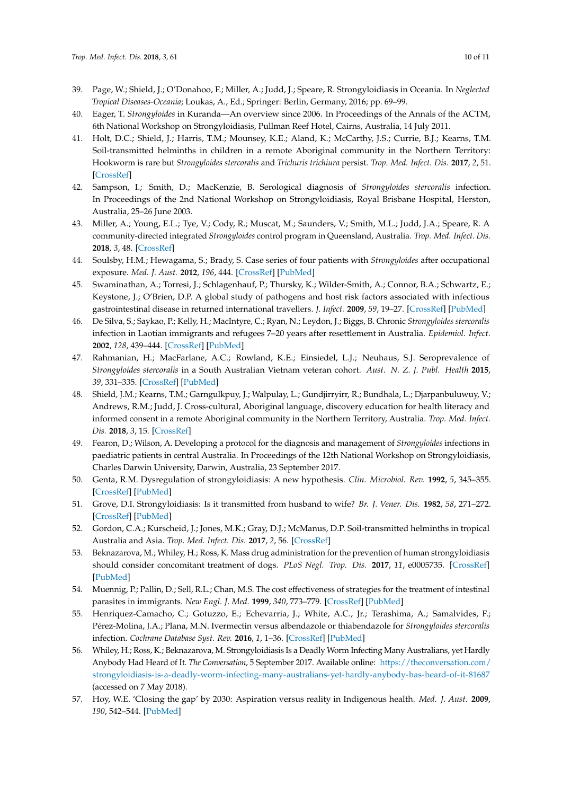- <span id="page-9-20"></span><span id="page-9-12"></span><span id="page-9-11"></span><span id="page-9-0"></span>39. Page, W.; Shield, J.; O'Donahoo, F.; Miller, A.; Judd, J.; Speare, R. Strongyloidiasis in Oceania. In *Neglected Tropical Diseases-Oceania*; Loukas, A., Ed.; Springer: Berlin, Germany, 2016; pp. 69–99.
- <span id="page-9-1"></span>40. Eager, T. *Strongyloides* in Kuranda—An overview since 2006. In Proceedings of the Annals of the ACTM, 6th National Workshop on Strongyloidiasis, Pullman Reef Hotel, Cairns, Australia, 14 July 2011.
- <span id="page-9-9"></span><span id="page-9-2"></span>41. Holt, D.C.; Shield, J.; Harris, T.M.; Mounsey, K.E.; Aland, K.; McCarthy, J.S.; Currie, B.J.; Kearns, T.M. Soil-transmitted helminths in children in a remote Aboriginal community in the Northern Territory: Hookworm is rare but *Strongyloides stercoralis* and *Trichuris trichiura* persist. *Trop. Med. Infect. Dis.* **2017**, *2*, 51. [\[CrossRef\]](http://dx.doi.org/10.3390/tropicalmed2040051)
- <span id="page-9-10"></span><span id="page-9-3"></span>42. Sampson, I.; Smith, D.; MacKenzie, B. Serological diagnosis of *Strongyloides stercoralis* infection. In Proceedings of the 2nd National Workshop on Strongyloidiasis, Royal Brisbane Hospital, Herston, Australia, 25–26 June 2003.
- <span id="page-9-13"></span><span id="page-9-4"></span>43. Miller, A.; Young, E.L.; Tye, V.; Cody, R.; Muscat, M.; Saunders, V.; Smith, M.L.; Judd, J.A.; Speare, R. A community-directed integrated *Strongyloides* control program in Queensland, Australia. *Trop. Med. Infect. Dis.* **2018**, *3*, 48. [\[CrossRef\]](http://dx.doi.org/10.3390/tropicalmed3020048)
- <span id="page-9-14"></span><span id="page-9-5"></span>44. Soulsby, H.M.; Hewagama, S.; Brady, S. Case series of four patients with *Strongyloides* after occupational exposure. *Med. J. Aust.* **2012**, *196*, 444. [\[CrossRef\]](http://dx.doi.org/10.5694/mja11.11505) [\[PubMed\]](http://www.ncbi.nlm.nih.gov/pubmed/22509872)
- <span id="page-9-15"></span><span id="page-9-6"></span>45. Swaminathan, A.; Torresi, J.; Schlagenhauf, P.; Thursky, K.; Wilder-Smith, A.; Connor, B.A.; Schwartz, E.; Keystone, J.; O'Brien, D.P. A global study of pathogens and host risk factors associated with infectious gastrointestinal disease in returned international travellers. *J. Infect.* **2009**, *59*, 19–27. [\[CrossRef\]](http://dx.doi.org/10.1016/j.jinf.2009.05.008) [\[PubMed\]](http://www.ncbi.nlm.nih.gov/pubmed/19552961)
- <span id="page-9-7"></span>46. De Silva, S.; Saykao, P.; Kelly, H.; MacIntyre, C.; Ryan, N.; Leydon, J.; Biggs, B. Chronic *Strongyloides stercoralis* infection in Laotian immigrants and refugees 7–20 years after resettlement in Australia. *Epidemiol. Infect.* **2002**, *128*, 439–444. [\[CrossRef\]](http://dx.doi.org/10.1017/S0950268801006677) [\[PubMed\]](http://www.ncbi.nlm.nih.gov/pubmed/12113488)
- <span id="page-9-16"></span><span id="page-9-8"></span>47. Rahmanian, H.; MacFarlane, A.C.; Rowland, K.E.; Einsiedel, L.J.; Neuhaus, S.J. Seroprevalence of *Strongyloides stercoralis* in a South Australian Vietnam veteran cohort. *Aust. N. Z. J. Publ. Health* **2015**, *39*, 331–335. [\[CrossRef\]](http://dx.doi.org/10.1111/1753-6405.12360) [\[PubMed\]](http://www.ncbi.nlm.nih.gov/pubmed/25903944)
- <span id="page-9-18"></span><span id="page-9-17"></span>48. Shield, J.M.; Kearns, T.M.; Garngulkpuy, J.; Walpulay, L.; Gundjirryirr, R.; Bundhala, L.; Djarpanbuluwuy, V.; Andrews, R.M.; Judd, J. Cross-cultural, Aboriginal language, discovery education for health literacy and informed consent in a remote Aboriginal community in the Northern Territory, Australia. *Trop. Med. Infect. Dis.* **2018**, *3*, 15. [\[CrossRef\]](http://dx.doi.org/10.3390/tropicalmed3010015)
- 49. Fearon, D.; Wilson, A. Developing a protocol for the diagnosis and management of *Strongyloides* infections in paediatric patients in central Australia. In Proceedings of the 12th National Workshop on Strongyloidiasis, Charles Darwin University, Darwin, Australia, 23 September 2017.
- <span id="page-9-19"></span>50. Genta, R.M. Dysregulation of strongyloidiasis: A new hypothesis. *Clin. Microbiol. Rev.* **1992**, *5*, 345–355. [\[CrossRef\]](http://dx.doi.org/10.1128/CMR.5.4.345) [\[PubMed\]](http://www.ncbi.nlm.nih.gov/pubmed/1423214)
- 51. Grove, D.I. Strongyloidiasis: Is it transmitted from husband to wife? *Br. J. Vener. Dis.* **1982**, *58*, 271–272. [\[CrossRef\]](http://dx.doi.org/10.1136/sti.58.4.271) [\[PubMed\]](http://www.ncbi.nlm.nih.gov/pubmed/6896668)
- 52. Gordon, C.A.; Kurscheid, J.; Jones, M.K.; Gray, D.J.; McManus, D.P. Soil-transmitted helminths in tropical Australia and Asia. *Trop. Med. Infect. Dis.* **2017**, *2*, 56. [\[CrossRef\]](http://dx.doi.org/10.3390/tropicalmed2040056)
- 53. Beknazarova, M.; Whiley, H.; Ross, K. Mass drug administration for the prevention of human strongyloidiasis should consider concomitant treatment of dogs. *PLoS Negl. Trop. Dis.* **2017**, *11*, e0005735. [\[CrossRef\]](http://dx.doi.org/10.1371/journal.pntd.0005735) [\[PubMed\]](http://www.ncbi.nlm.nih.gov/pubmed/28837662)
- <span id="page-9-21"></span>54. Muennig, P.; Pallin, D.; Sell, R.L.; Chan, M.S. The cost effectiveness of strategies for the treatment of intestinal parasites in immigrants. *New Engl. J. Med.* **1999**, *340*, 773–779. [\[CrossRef\]](http://dx.doi.org/10.1056/NEJM199903113401006) [\[PubMed\]](http://www.ncbi.nlm.nih.gov/pubmed/10072413)
- 55. Henriquez-Camacho, C.; Gotuzzo, E.; Echevarria, J.; White, A.C., Jr.; Terashima, A.; Samalvides, F.; Pérez-Molina, J.A.; Plana, M.N. Ivermectin versus albendazole or thiabendazole for *Strongyloides stercoralis* infection. *Cochrane Database Syst. Rev.* **2016**, *1*, 1–36. [\[CrossRef\]](http://dx.doi.org/10.1002/14651858.CD007745.pub3) [\[PubMed\]](http://www.ncbi.nlm.nih.gov/pubmed/26778150)
- 56. Whiley, H.; Ross, K.; Beknazarova, M. Strongyloidiasis Is a Deadly Worm Infecting Many Australians, yet Hardly Anybody Had Heard of It. *The Conversation*, 5 September 2017. Available online: [https://theconversation.com/](https://theconversation.com/strongyloidiasis-is-a-deadly-worm-infecting-many-australians-yet-hardly-anybody-has-heard-of-it-81687) [strongyloidiasis-is-a-deadly-worm-infecting-many-australians-yet-hardly-anybody-has-heard-of-it-81687](https://theconversation.com/strongyloidiasis-is-a-deadly-worm-infecting-many-australians-yet-hardly-anybody-has-heard-of-it-81687) (accessed on 7 May 2018).
- 57. Hoy, W.E. 'Closing the gap' by 2030: Aspiration versus reality in Indigenous health. *Med. J. Aust.* **2009**, *190*, 542–544. [\[PubMed\]](http://www.ncbi.nlm.nih.gov/pubmed/19450194)